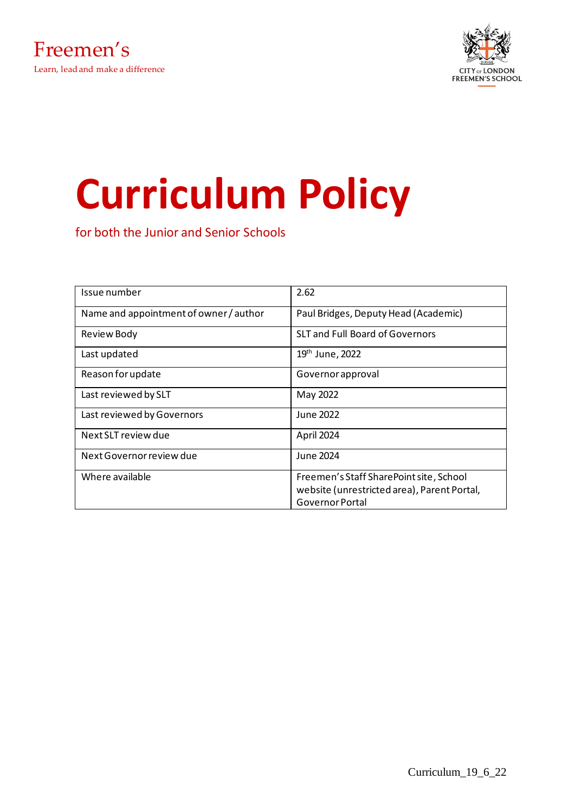

# **Curriculum Policy**

for both the Junior and Senior Schools

| Issue number                         | 2.62                                        |
|--------------------------------------|---------------------------------------------|
| Name and appointment of owner/author | Paul Bridges, Deputy Head (Academic)        |
| <b>Review Body</b>                   | <b>SLT and Full Board of Governors</b>      |
| Last updated                         | 19 <sup>th</sup> June, 2022                 |
| Reason for update                    | Governor approval                           |
| Last reviewed by SLT                 | May 2022                                    |
| Last reviewed by Governors           | June 2022                                   |
| Next SLT review due                  | April 2024                                  |
| Next Governor review due             | June 2024                                   |
| Where available                      | Freemen's Staff SharePoint site, School     |
|                                      | website (unrestricted area), Parent Portal, |
|                                      | Governor Portal                             |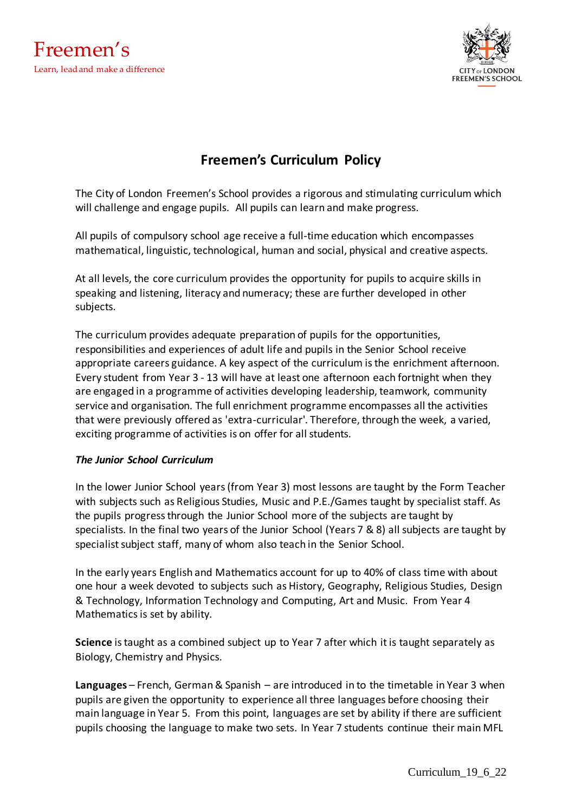



## **Freemen's Curriculum Policy**

The City of London Freemen's School provides a rigorous and stimulating curriculum which will challenge and engage pupils. All pupils can learn and make progress.

All pupils of compulsory school age receive a full-time education which encompasses mathematical, linguistic, technological, human and social, physical and creative aspects.

At all levels, the core curriculum provides the opportunity for pupils to acquire skills in speaking and listening, literacy and numeracy; these are further developed in other subjects.

The curriculum provides adequate preparation of pupils for the opportunities, responsibilities and experiences of adult life and pupils in the Senior School receive appropriate careers guidance. A key aspect of the curriculum is the enrichment afternoon. Every student from Year 3 - 13 will have at least one afternoon each fortnight when they are engaged in a programme of activities developing leadership, teamwork, community service and organisation. The full enrichment programme encompasses all the activities that were previously offered as 'extra-curricular'. Therefore, through the week, a varied, exciting programme of activities is on offer for all students.

## *The Junior School Curriculum*

In the lower Junior School years (from Year 3) most lessons are taught by the Form Teacher with subjects such as Religious Studies, Music and P.E./Games taught by specialist staff. As the pupils progress through the Junior School more of the subjects are taught by specialists. In the final two years of the Junior School (Years 7 & 8) all subjects are taught by specialist subject staff, many of whom also teach in the Senior School.

In the early years English and Mathematics account for up to 40% of class time with about one hour a week devoted to subjects such as History, Geography, Religious Studies, Design & Technology, Information Technology and Computing, Art and Music. From Year 4 Mathematics is set by ability.

**Science** is taught as a combined subject up to Year 7 after which it is taught separately as Biology, Chemistry and Physics.

**Languages** – French, German & Spanish – are introduced in to the timetable in Year 3 when pupils are given the opportunity to experience all three languages before choosing their main language in Year 5. From this point, languages are set by ability if there are sufficient pupils choosing the language to make two sets. In Year 7 students continue their main MFL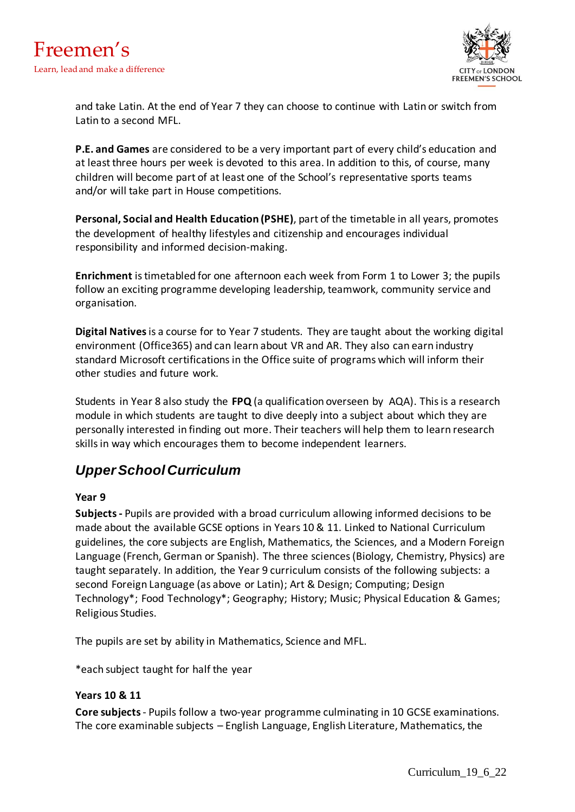

and take Latin. At the end of Year 7 they can choose to continue with Latin or switch from Latin to a second MFL.

**P.E. and Games** are considered to be a very important part of every child's education and at least three hours per week is devoted to this area. In addition to this, of course, many children will become part of at least one of the School's representative sports teams and/or will take part in House competitions.

**Personal, Social and Health Education (PSHE)**, part of the timetable in all years, promotes the development of healthy lifestyles and citizenship and encourages individual responsibility and informed decision-making.

**Enrichment** is timetabled for one afternoon each week from Form 1 to Lower 3; the pupils follow an exciting programme developing leadership, teamwork, community service and organisation.

**Digital Natives** is a course for to Year 7 students. They are taught about the working digital environment (Office365) and can learn about VR and AR. They also can earn industry standard Microsoft certifications in the Office suite of programs which will inform their other studies and future work.

Students in Year 8 also study the **FPQ** (a qualification overseen by AQA). This is a research module in which students are taught to dive deeply into a subject about which they are personally interested in finding out more. Their teachers will help them to learn research skills in way which encourages them to become independent learners.

# *Upper School Curriculum*

## **Year 9**

**Subjects -** Pupils are provided with a broad curriculum allowing informed decisions to be made about the available GCSE options in Years 10 & 11. Linked to National Curriculum guidelines, the core subjects are English, Mathematics, the Sciences, and a Modern Foreign Language (French, German or Spanish). The three sciences (Biology, Chemistry, Physics) are taught separately. In addition, the Year 9 curriculum consists of the following subjects: a second Foreign Language (as above or Latin); Art & Design; Computing; Design Technology\*; Food Technology\*; Geography; History; Music; Physical Education & Games; Religious Studies.

The pupils are set by ability in Mathematics, Science and MFL.

\*each subject taught for half the year

## **Years 10 & 11**

**Core subjects**- Pupils follow a two-year programme culminating in 10 GCSE examinations. The core examinable subjects – English Language, English Literature, Mathematics, the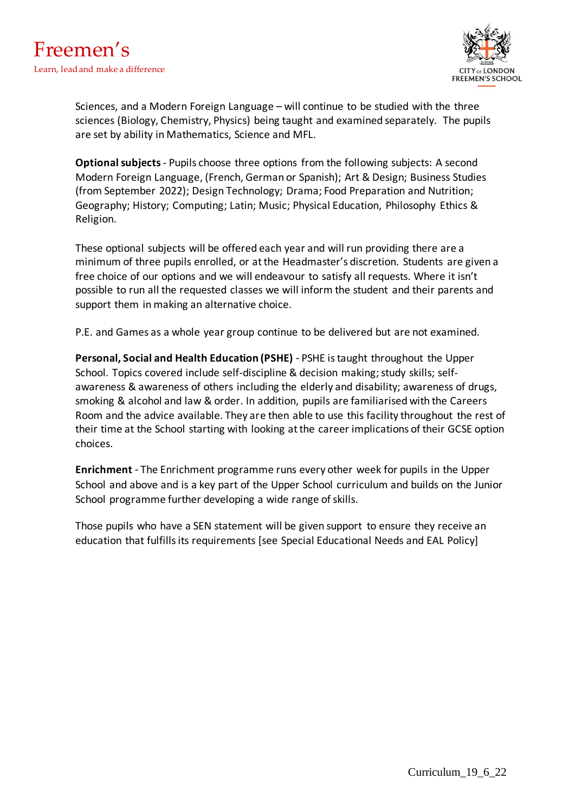

Sciences, and a Modern Foreign Language – will continue to be studied with the three sciences (Biology, Chemistry, Physics) being taught and examined separately. The pupils are set by ability in Mathematics, Science and MFL.

**Optional subjects**- Pupils choose three options from the following subjects: A second Modern Foreign Language, (French, German or Spanish); Art & Design; Business Studies (from September 2022); Design Technology; Drama; Food Preparation and Nutrition; Geography; History; Computing; Latin; Music; Physical Education, Philosophy Ethics & Religion.

These optional subjects will be offered each year and will run providing there are a minimum of three pupils enrolled, or at the Headmaster's discretion. Students are given a free choice of our options and we will endeavour to satisfy all requests. Where it isn't possible to run all the requested classes we will inform the student and their parents and support them in making an alternative choice.

P.E. and Games as a whole year group continue to be delivered but are not examined.

**Personal, Social and Health Education (PSHE)** - PSHE is taught throughout the Upper School. Topics covered include self-discipline & decision making; study skills; selfawareness & awareness of others including the elderly and disability; awareness of drugs, smoking & alcohol and law & order. In addition, pupils are familiarised with the Careers Room and the advice available. They are then able to use this facility throughout the rest of their time at the School starting with looking at the career implications of their GCSE option choices.

**Enrichment** - The Enrichment programme runs every other week for pupils in the Upper School and above and is a key part of the Upper School curriculum and builds on the Junior School programme further developing a wide range of skills.

Those pupils who have a SEN statement will be given support to ensure they receive an education that fulfills its requirements [see Special Educational Needs and EAL Policy]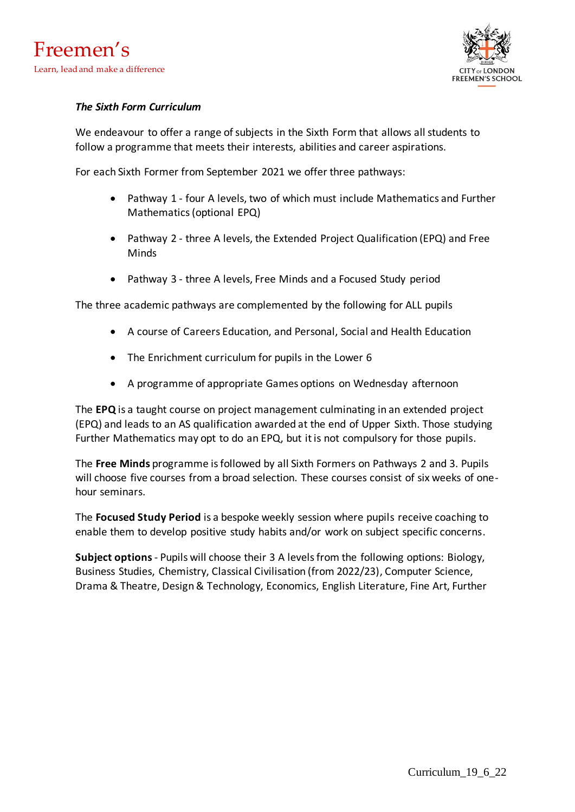

## *The Sixth Form Curriculum*

We endeavour to offer a range of subjects in the Sixth Form that allows all students to follow a programme that meets their interests, abilities and career aspirations.

For each Sixth Former from September 2021 we offer three pathways:

- Pathway 1 four A levels, two of which must include Mathematics and Further Mathematics (optional EPQ)
- Pathway 2 three A levels, the Extended Project Qualification (EPQ) and Free Minds
- Pathway 3 three A levels, Free Minds and a Focused Study period

The three academic pathways are complemented by the following for ALL pupils

- A course of Careers Education, and Personal, Social and Health Education
- The Enrichment curriculum for pupils in the Lower 6
- A programme of appropriate Games options on Wednesday afternoon

The **EPQ** is a taught course on project management culminating in an extended project (EPQ) and leads to an AS qualification awarded at the end of Upper Sixth. Those studying Further Mathematics may opt to do an EPQ, but it is not compulsory for those pupils.

The **Free Minds** programme is followed by all Sixth Formers on Pathways 2 and 3. Pupils will choose five courses from a broad selection. These courses consist of six weeks of onehour seminars.

The **Focused Study Period** is a bespoke weekly session where pupils receive coaching to enable them to develop positive study habits and/or work on subject specific concerns.

**Subject options**- Pupils will choose their 3 A levels from the following options: Biology, Business Studies, Chemistry, Classical Civilisation (from 2022/23), Computer Science, Drama & Theatre, Design & Technology, Economics, English Literature, Fine Art, Further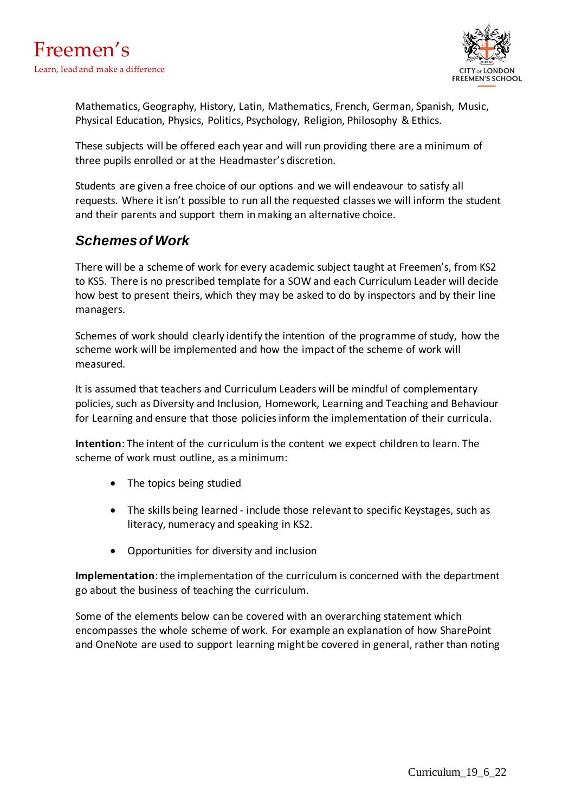

Mathematics, Geography, History, Latin, Mathematics, French, German, Spanish, Music, Physical Education, Physics, Politics, Psychology, Religion, Philosophy & Ethics.

These subjects will be offered each year and will run providing there are a minimum of three pupils enrolled or at the Headmaster's discretion.

Students are given a free choice of our options and we will endeavour to satisfy all requests. Where it isn't possible to run all the requested classes we will inform the student and their parents and support them in making an alternative choice.

## *Schemes of Work*

There will be a scheme of work for every academic subject taught at Freemen's, from KS2 to KS5. There is no prescribed template for a SOW and each Curriculum Leader will decide how best to present theirs, which they may be asked to do by inspectors and by their line managers.

Schemes of work should clearly identify the intention of the programme of study, how the scheme work will be implemented and how the impact of the scheme of work will measured.

It is assumed that teachers and Curriculum Leaders will be mindful of complementary policies, such as Diversity and Inclusion, Homework, Learning and Teaching and Behaviour for Learning and ensure that those policies inform the implementation of their curricula.

**Intention**: The intent of the curriculum is the content we expect children to learn. The scheme of work must outline, as a minimum:

- The topics being studied
- The skills being learned include those relevant to specific Keystages, such as literacy, numeracy and speaking in KS2.
- Opportunities for diversity and inclusion

**Implementation**: the implementation of the curriculum is concerned with the department go about the business of teaching the curriculum.

Some of the elements below can be covered with an overarching statement which encompasses the whole scheme of work. For example an explanation of how SharePoint and OneNote are used to support learning might be covered in general, rather than noting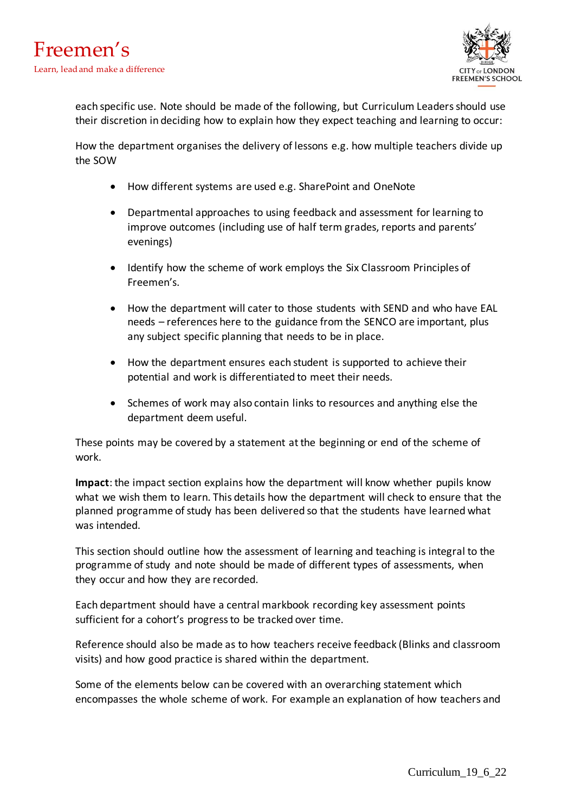

each specific use. Note should be made of the following, but Curriculum Leaders should use their discretion in deciding how to explain how they expect teaching and learning to occur:

How the department organises the delivery of lessons e.g. how multiple teachers divide up the SOW

- How different systems are used e.g. SharePoint and OneNote
- Departmental approaches to using feedback and assessment for learning to improve outcomes (including use of half term grades, reports and parents' evenings)
- Identify how the scheme of work employs the Six Classroom Principles of Freemen's.
- How the department will cater to those students with SEND and who have EAL needs – references here to the guidance from the SENCO are important, plus any subject specific planning that needs to be in place.
- How the department ensures each student is supported to achieve their potential and work is differentiated to meet their needs.
- Schemes of work may also contain links to resources and anything else the department deem useful.

These points may be covered by a statement at the beginning or end of the scheme of work.

**Impact**: the impact section explains how the department will know whether pupils know what we wish them to learn. This details how the department will check to ensure that the planned programme of study has been delivered so that the students have learned what was intended.

This section should outline how the assessment of learning and teaching is integral to the programme of study and note should be made of different types of assessments, when they occur and how they are recorded.

Each department should have a central markbook recording key assessment points sufficient for a cohort's progress to be tracked over time.

Reference should also be made as to how teachers receive feedback (Blinks and classroom visits) and how good practice is shared within the department.

Some of the elements below can be covered with an overarching statement which encompasses the whole scheme of work. For example an explanation of how teachers and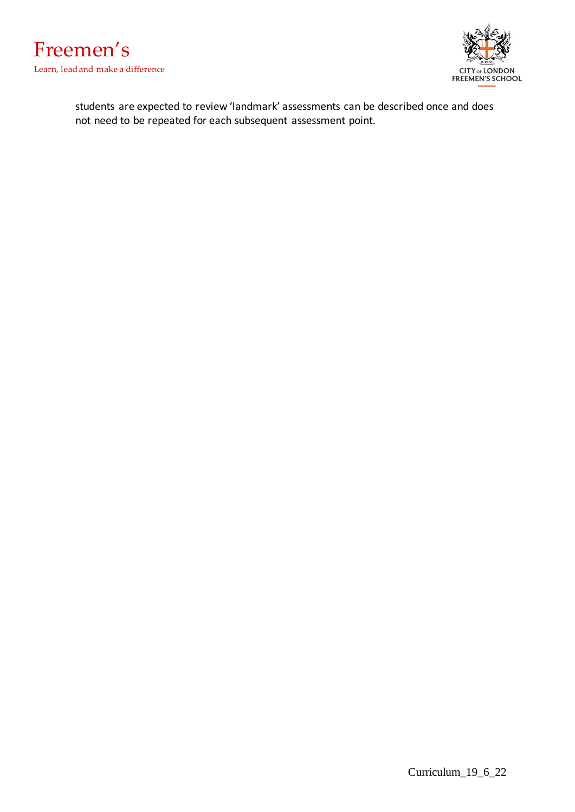



students are expected to review 'landmark' assessments can be described once and does not need to be repeated for each subsequent assessment point.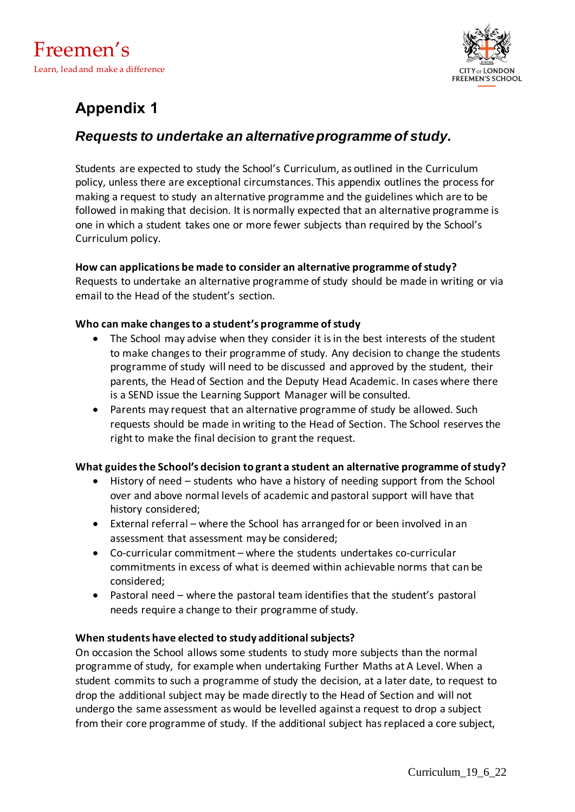

# **Appendix 1**

# *Requests to undertake an alternative programme of study.*

Students are expected to study the School's Curriculum, as outlined in the Curriculum policy, unless there are exceptional circumstances. This appendix outlines the process for making a request to study an alternative programme and the guidelines which are to be followed in making that decision. It is normally expected that an alternative programme is one in which a student takes one or more fewer subjects than required by the School's Curriculum policy.

## **How can applications be made to consider an alternative programme of study?**

Requests to undertake an alternative programme of study should be made in writing or via email to the Head of the student's section.

## **Who can make changes to a student's programme of study**

- The School may advise when they consider it is in the best interests of the student to make changes to their programme of study. Any decision to change the students programme of study will need to be discussed and approved by the student, their parents, the Head of Section and the Deputy Head Academic. In cases where there is a SEND issue the Learning Support Manager will be consulted.
- Parents may request that an alternative programme of study be allowed. Such requests should be made in writing to the Head of Section. The School reserves the right to make the final decision to grant the request.

## **What guides the School's decision to grant a student an alternative programme of study?**

- History of need students who have a history of needing support from the School over and above normal levels of academic and pastoral support will have that history considered;
- External referral where the School has arranged for or been involved in an assessment that assessment may be considered;
- Co-curricular commitment where the students undertakes co-curricular commitments in excess of what is deemed within achievable norms that can be considered;
- Pastoral need where the pastoral team identifies that the student's pastoral needs require a change to their programme of study.

## **When students have elected to study additional subjects?**

On occasion the School allows some students to study more subjects than the normal programme of study, for example when undertaking Further Maths at A Level. When a student commits to such a programme of study the decision, at a later date, to request to drop the additional subject may be made directly to the Head of Section and will not undergo the same assessment as would be levelled against a request to drop a subject from their core programme of study. If the additional subject has replaced a core subject,